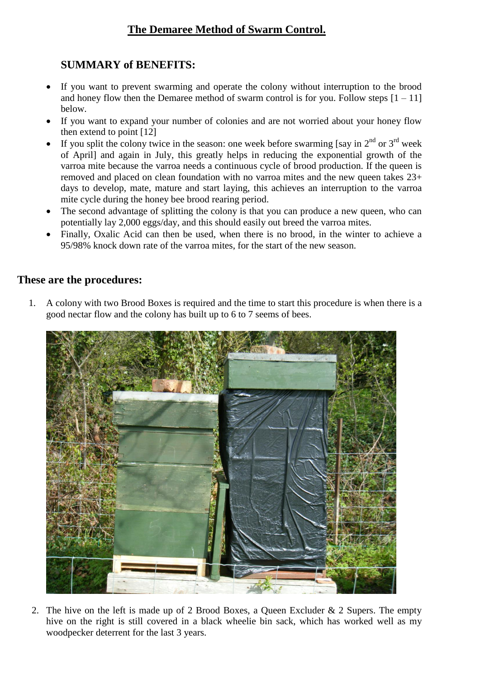## **The Demaree Method of Swarm Control.**

## **SUMMARY of BENEFITS:**

- If you want to prevent swarming and operate the colony without interruption to the brood and honey flow then the Demaree method of swarm control is for you. Follow steps  $[1 - 11]$ below.
- If you want to expand your number of colonies and are not worried about your honey flow then extend to point [12]
- If you split the colony twice in the season: one week before swarming [say in  $2<sup>nd</sup>$  or  $3<sup>rd</sup>$  week of April] and again in July, this greatly helps in reducing the exponential growth of the varroa mite because the varroa needs a continuous cycle of brood production. If the queen is removed and placed on clean foundation with no varroa mites and the new queen takes 23+ days to develop, mate, mature and start laying, this achieves an interruption to the varroa mite cycle during the honey bee brood rearing period.
- The second advantage of splitting the colony is that you can produce a new queen, who can potentially lay 2,000 eggs/day, and this should easily out breed the varroa mites.
- Finally, Oxalic Acid can then be used, when there is no brood, in the winter to achieve a 95/98% knock down rate of the varroa mites, for the start of the new season.

## **These are the procedures:**

1. A colony with two Brood Boxes is required and the time to start this procedure is when there is a good nectar flow and the colony has built up to 6 to 7 seems of bees.



2. The hive on the left is made up of 2 Brood Boxes, a Queen Excluder  $\&$  2 Supers. The empty hive on the right is still covered in a black wheelie bin sack, which has worked well as my woodpecker deterrent for the last 3 years.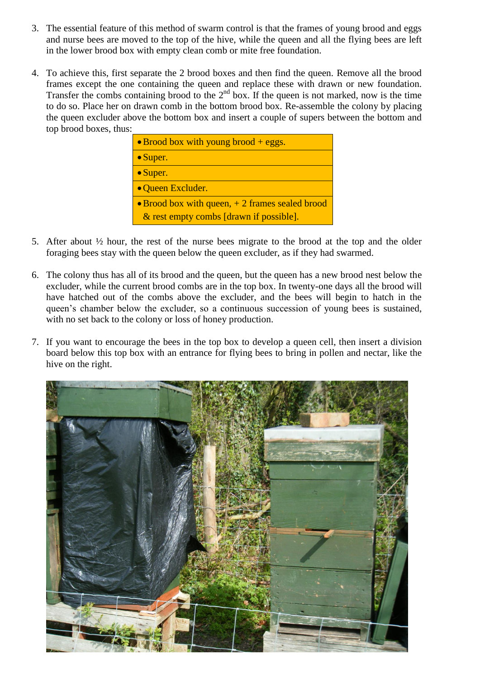- 3. The essential feature of this method of swarm control is that the frames of young brood and eggs and nurse bees are moved to the top of the hive, while the queen and all the flying bees are left in the lower brood box with empty clean comb or mite free foundation.
- 4. To achieve this, first separate the 2 brood boxes and then find the queen. Remove all the brood frames except the one containing the queen and replace these with drawn or new foundation. Transfer the combs containing brood to the  $2<sup>nd</sup>$  box. If the queen is not marked, now is the time to do so. Place her on drawn comb in the bottom brood box. Re-assemble the colony by placing the queen excluder above the bottom box and insert a couple of supers between the bottom and top brood boxes, thus:

| $\bullet$ Brood box with young brood + eggs.             |
|----------------------------------------------------------|
| $\bullet$ Super.                                         |
| • Super.                                                 |
| • Queen Excluder.                                        |
| $\bullet$ Brood box with queen, $+2$ frames sealed brood |
| & rest empty combs [drawn if possible].                  |

- 5. After about  $\frac{1}{2}$  hour, the rest of the nurse bees migrate to the brood at the top and the older foraging bees stay with the queen below the queen excluder, as if they had swarmed.
- 6. The colony thus has all of its brood and the queen, but the queen has a new brood nest below the excluder, while the current brood combs are in the top box. In twenty-one days all the brood will have hatched out of the combs above the excluder, and the bees will begin to hatch in the queen's chamber below the excluder, so a continuous succession of young bees is sustained, with no set back to the colony or loss of honey production.
- 7. If you want to encourage the bees in the top box to develop a queen cell, then insert a division board below this top box with an entrance for flying bees to bring in pollen and nectar, like the hive on the right.

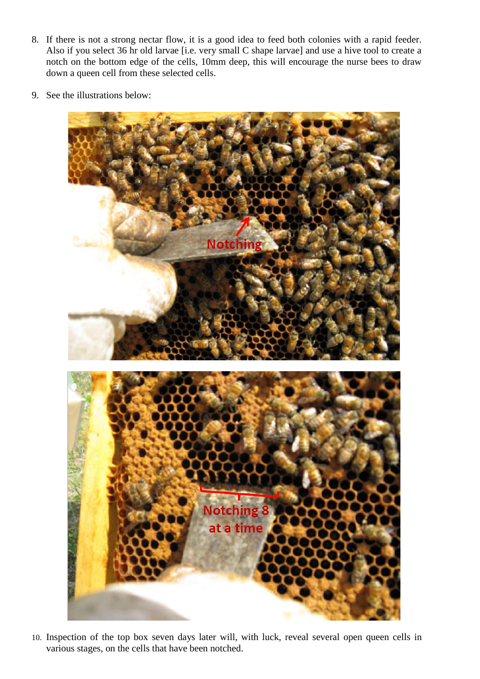- 8. If there is not a strong nectar flow, it is a good idea to feed both colonies with a rapid feeder. Also if you select 36 hr old larvae [i.e. very small C shape larvae] and use a hive tool to create a notch on the bottom edge of the cells, 10mm deep, this will encourage the nurse bees to draw down a queen cell from these selected cells.
- 9. See the illustrations below:



10. Inspection of the top box seven days later will, with luck, reveal several open queen cells in various stages, on the cells that have been notched.